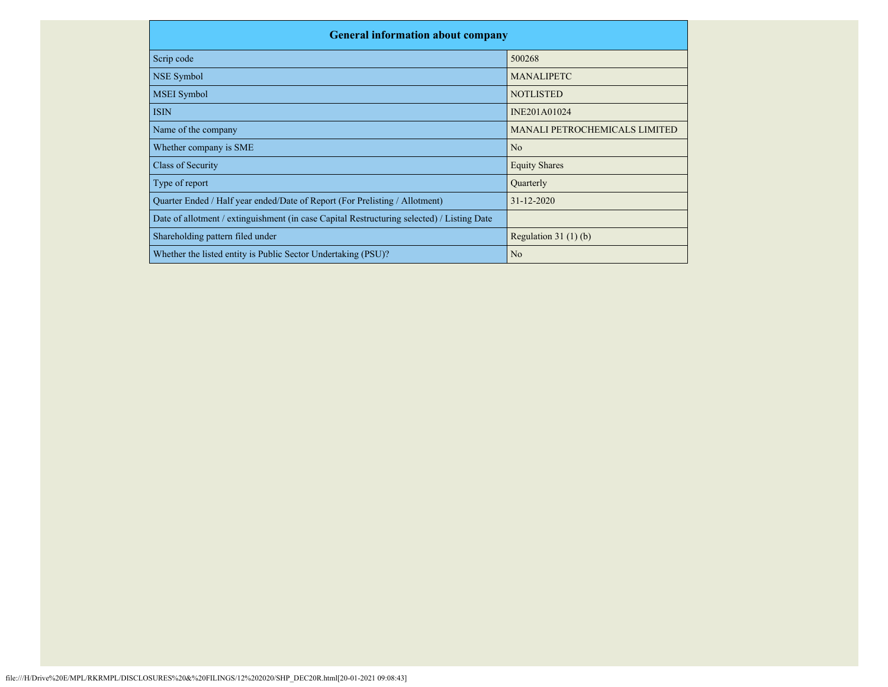| <b>General information about company</b>                                                   |                               |
|--------------------------------------------------------------------------------------------|-------------------------------|
| Scrip code                                                                                 | 500268                        |
| NSE Symbol                                                                                 | <b>MANALIPETC</b>             |
| <b>MSEI</b> Symbol                                                                         | <b>NOTLISTED</b>              |
| <b>ISIN</b>                                                                                | INE201A01024                  |
| Name of the company                                                                        | MANALI PETROCHEMICALS LIMITED |
| Whether company is SME                                                                     | N <sub>o</sub>                |
| Class of Security                                                                          | <b>Equity Shares</b>          |
| Type of report                                                                             | Quarterly                     |
| Quarter Ended / Half year ended/Date of Report (For Prelisting / Allotment)                | $31 - 12 - 2020$              |
| Date of allotment / extinguishment (in case Capital Restructuring selected) / Listing Date |                               |
| Shareholding pattern filed under                                                           | Regulation $31(1)(b)$         |
| Whether the listed entity is Public Sector Undertaking (PSU)?                              | N <sub>o</sub>                |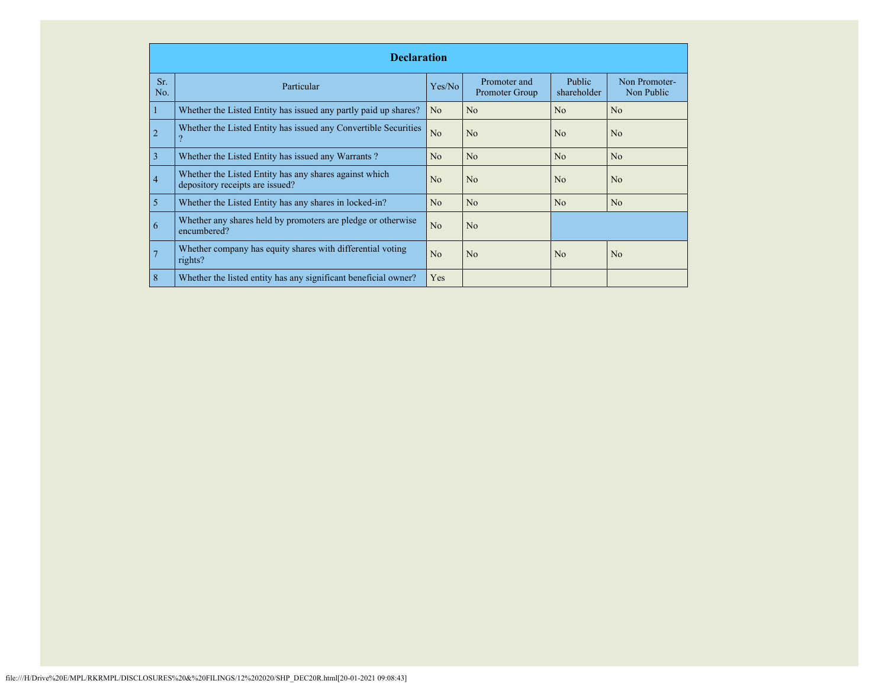|            | <b>Declaration</b>                                                                        |                |                                |                              |                             |  |  |  |  |  |
|------------|-------------------------------------------------------------------------------------------|----------------|--------------------------------|------------------------------|-----------------------------|--|--|--|--|--|
| Sr.<br>No. | Particular                                                                                | Yes/No         | Promoter and<br>Promoter Group | <b>Public</b><br>shareholder | Non Promoter-<br>Non Public |  |  |  |  |  |
|            | Whether the Listed Entity has issued any partly paid up shares?                           | N <sub>o</sub> | N <sub>o</sub>                 | No                           | N <sub>o</sub>              |  |  |  |  |  |
| 2          | Whether the Listed Entity has issued any Convertible Securities                           | No             | N <sub>o</sub>                 | No                           | N <sub>o</sub>              |  |  |  |  |  |
| 3          | Whether the Listed Entity has issued any Warrants?                                        | N <sub>o</sub> | N <sub>o</sub>                 | No                           | N <sub>o</sub>              |  |  |  |  |  |
| 4          | Whether the Listed Entity has any shares against which<br>depository receipts are issued? | N <sub>o</sub> | N <sub>o</sub>                 | No                           | N <sub>o</sub>              |  |  |  |  |  |
| 5          | Whether the Listed Entity has any shares in locked-in?                                    | No             | N <sub>o</sub>                 | N <sub>o</sub>               | N <sub>o</sub>              |  |  |  |  |  |
| 6          | Whether any shares held by promoters are pledge or otherwise<br>encumbered?               | No             | No                             |                              |                             |  |  |  |  |  |
|            | Whether company has equity shares with differential voting<br>rights?                     | N <sub>o</sub> | N <sub>o</sub>                 | No                           | N <sub>o</sub>              |  |  |  |  |  |
| 8          | Whether the listed entity has any significant beneficial owner?                           | Yes            |                                |                              |                             |  |  |  |  |  |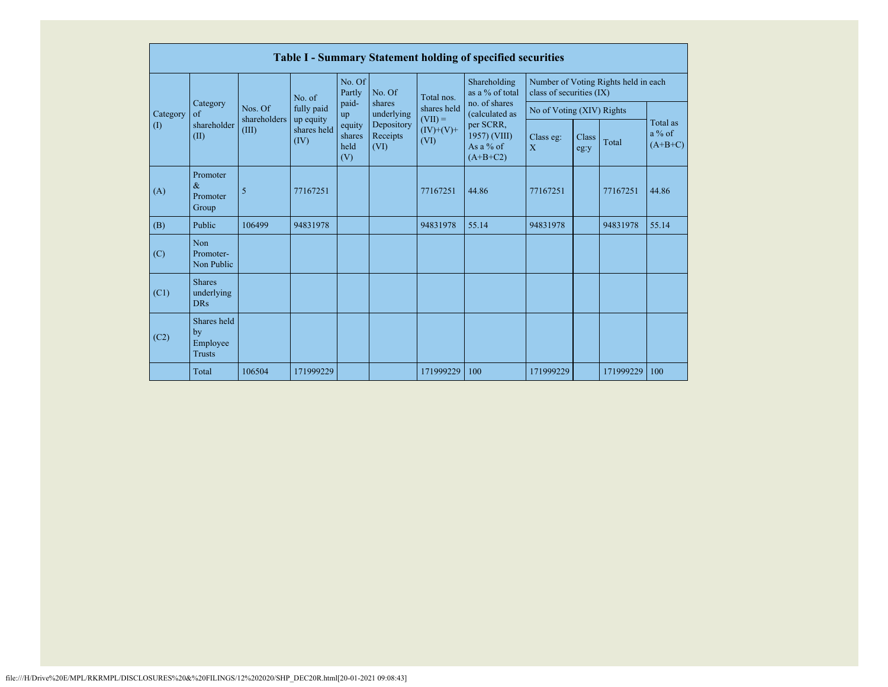|          | <b>Table I - Summary Statement holding of specified securities</b> |                         |                                  |                                 |                                |                                                               |                                                                                                                              |                                                                  |               |           |                                   |  |  |
|----------|--------------------------------------------------------------------|-------------------------|----------------------------------|---------------------------------|--------------------------------|---------------------------------------------------------------|------------------------------------------------------------------------------------------------------------------------------|------------------------------------------------------------------|---------------|-----------|-----------------------------------|--|--|
|          |                                                                    |                         | No. of                           | No. Of<br>Partly                | No. Of                         | Total nos.<br>shares held<br>$(VII) =$<br>$(IV)+(V)+$<br>(VI) | Shareholding<br>as a % of total<br>no. of shares<br>(calculated as<br>per SCRR,<br>1957) (VIII)<br>As a $%$ of<br>$(A+B+C2)$ | Number of Voting Rights held in each<br>class of securities (IX) |               |           |                                   |  |  |
| Category | Category<br>of                                                     | Nos. Of<br>shareholders | fully paid                       | paid-<br>up                     | shares<br>underlying           |                                                               |                                                                                                                              | No of Voting (XIV) Rights                                        |               |           |                                   |  |  |
| (1)      | shareholder<br>(II)                                                | (III)                   | up equity<br>shares held<br>(IV) | equity<br>shares<br>held<br>(V) | Depository<br>Receipts<br>(VI) |                                                               |                                                                                                                              | Class eg:<br>$\overline{X}$                                      | Class<br>eg:y | Total     | Total as<br>$a\%$ of<br>$(A+B+C)$ |  |  |
| (A)      | Promoter<br>$\&$<br>Promoter<br>Group                              | 5                       | 77167251                         |                                 |                                | 77167251                                                      | 44.86                                                                                                                        | 77167251                                                         |               | 77167251  | 44.86                             |  |  |
| (B)      | Public                                                             | 106499                  | 94831978                         |                                 |                                | 94831978                                                      | 55.14                                                                                                                        | 94831978                                                         |               | 94831978  | 55.14                             |  |  |
| (C)      | Non<br>Promoter-<br>Non Public                                     |                         |                                  |                                 |                                |                                                               |                                                                                                                              |                                                                  |               |           |                                   |  |  |
| (C1)     | <b>Shares</b><br>underlying<br><b>DRs</b>                          |                         |                                  |                                 |                                |                                                               |                                                                                                                              |                                                                  |               |           |                                   |  |  |
| (C2)     | Shares held<br>by<br>Employee<br><b>Trusts</b>                     |                         |                                  |                                 |                                |                                                               |                                                                                                                              |                                                                  |               |           |                                   |  |  |
|          | Total                                                              | 106504                  | 171999229                        |                                 |                                | 171999229                                                     | 100                                                                                                                          | 171999229                                                        |               | 171999229 | 100                               |  |  |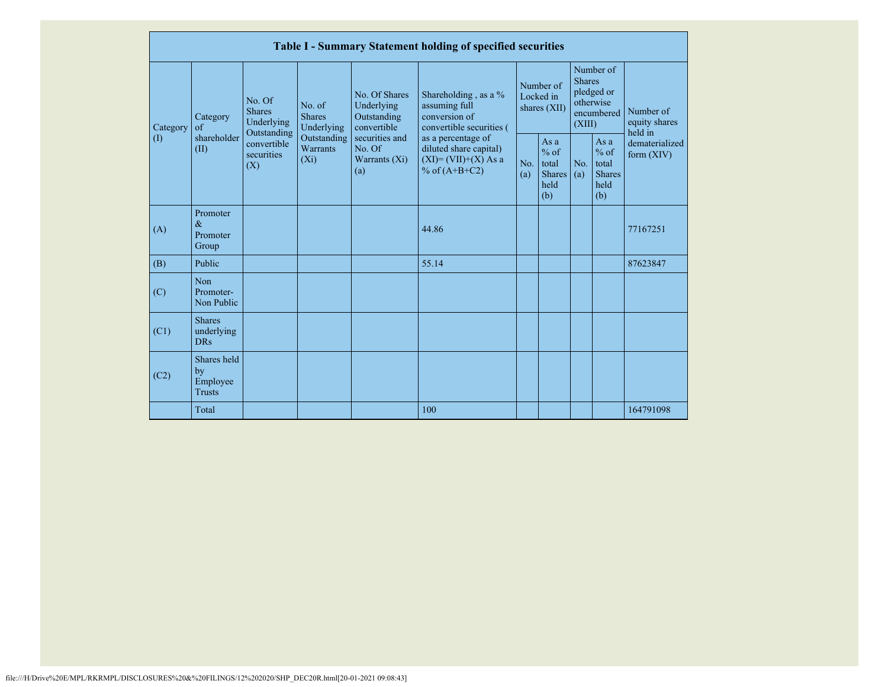|           |                                                |                                                 |                                       |                                                           | Table I - Summary Statement holding of specified securities                                |                                        |                                                        |                                                                               |                                                           |                                       |
|-----------|------------------------------------------------|-------------------------------------------------|---------------------------------------|-----------------------------------------------------------|--------------------------------------------------------------------------------------------|----------------------------------------|--------------------------------------------------------|-------------------------------------------------------------------------------|-----------------------------------------------------------|---------------------------------------|
| Category  | Category<br>$\sigma$                           | No. Of<br><b>Shares</b><br>Underlying           | No. of<br><b>Shares</b><br>Underlying | No. Of Shares<br>Underlying<br>Outstanding<br>convertible | Shareholding, as a %<br>assuming full<br>conversion of<br>convertible securities (         | Number of<br>Locked in<br>shares (XII) |                                                        | Number of<br><b>Shares</b><br>pledged or<br>otherwise<br>encumbered<br>(XIII) |                                                           | Number of<br>equity shares<br>held in |
| $\rm (I)$ | shareholder<br>(II)                            | Outstanding<br>convertible<br>securities<br>(X) | Outstanding<br>Warrants<br>$(X_i)$    | securities and<br>No. Of<br>Warrants (Xi)<br>(a)          | as a percentage of<br>diluted share capital)<br>$(XI) = (VII)+(X) As a$<br>% of $(A+B+C2)$ | No.<br>(a)                             | Asa<br>$%$ of<br>total<br><b>Shares</b><br>held<br>(b) | No.<br>(a)                                                                    | As $a$<br>$%$ of<br>total<br><b>Shares</b><br>held<br>(b) | dematerialized<br>form $(XIV)$        |
| (A)       | Promoter<br>$\&$<br>Promoter<br>Group          |                                                 |                                       |                                                           | 44.86                                                                                      |                                        |                                                        |                                                                               |                                                           | 77167251                              |
| (B)       | Public                                         |                                                 |                                       |                                                           | 55.14                                                                                      |                                        |                                                        |                                                                               |                                                           | 87623847                              |
| (C)       | Non<br>Promoter-<br>Non Public                 |                                                 |                                       |                                                           |                                                                                            |                                        |                                                        |                                                                               |                                                           |                                       |
| (C1)      | <b>Shares</b><br>underlying<br><b>DRs</b>      |                                                 |                                       |                                                           |                                                                                            |                                        |                                                        |                                                                               |                                                           |                                       |
| (C2)      | Shares held<br>by<br>Employee<br><b>Trusts</b> |                                                 |                                       |                                                           |                                                                                            |                                        |                                                        |                                                                               |                                                           |                                       |
|           | Total                                          |                                                 |                                       |                                                           | 100                                                                                        |                                        |                                                        |                                                                               |                                                           | 164791098                             |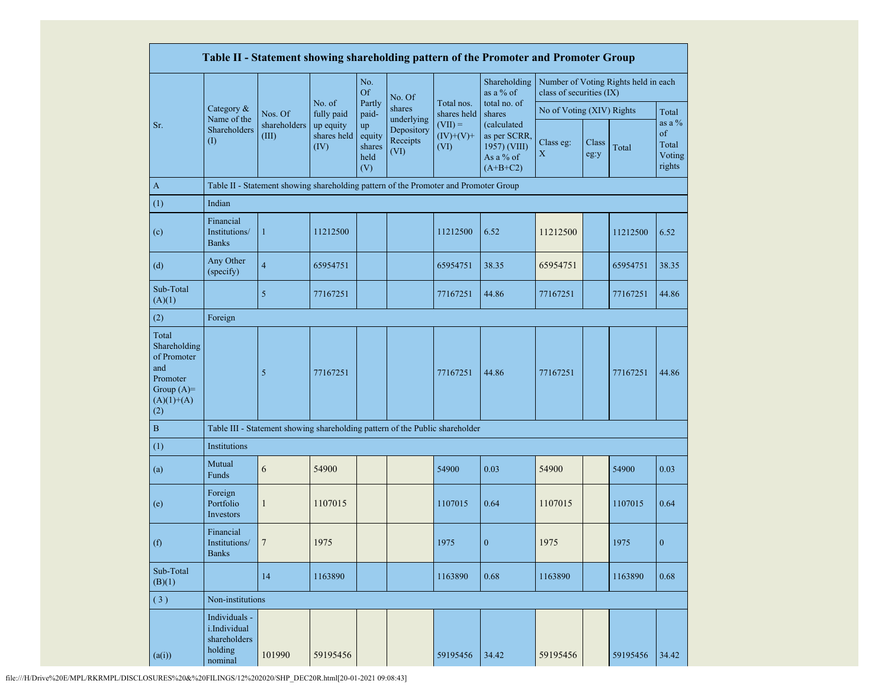|                                                                                                |                                                                     |                                                                                      |                                                          |                                       |                                |                                  | Table II - Statement showing shareholding pattern of the Promoter and Promoter Group |                           |               |                                      |                                             |
|------------------------------------------------------------------------------------------------|---------------------------------------------------------------------|--------------------------------------------------------------------------------------|----------------------------------------------------------|---------------------------------------|--------------------------------|----------------------------------|--------------------------------------------------------------------------------------|---------------------------|---------------|--------------------------------------|---------------------------------------------|
|                                                                                                |                                                                     |                                                                                      |                                                          | No.<br><b>Of</b>                      | No. Of                         |                                  | Shareholding<br>as a % of                                                            | class of securities (IX)  |               | Number of Voting Rights held in each |                                             |
|                                                                                                | Category &<br>Name of the                                           | Nos. Of<br>shareholders<br>(III)                                                     | No. of<br>fully paid<br>up equity<br>shares held<br>(IV) | Partly<br>paid-                       | shares<br>underlying           | Total nos.<br>shares held        | total no. of<br>shares                                                               | No of Voting (XIV) Rights |               |                                      | Total                                       |
| Sr.                                                                                            | Shareholders<br>(I)                                                 |                                                                                      |                                                          | up<br>equity<br>shares<br>held<br>(V) | Depository<br>Receipts<br>(VI) | $(VII) =$<br>$(IV)+(V)+$<br>(VI) | (calculated<br>as per SCRR,<br>1957) (VIII)<br>As a % of<br>$(A+B+C2)$               | Class eg:<br>$\mathbf X$  | Class<br>eg:y | Total                                | as a $%$<br>of<br>Total<br>Voting<br>rights |
| $\mathbf{A}$                                                                                   |                                                                     | Table II - Statement showing shareholding pattern of the Promoter and Promoter Group |                                                          |                                       |                                |                                  |                                                                                      |                           |               |                                      |                                             |
| (1)                                                                                            | Indian                                                              |                                                                                      |                                                          |                                       |                                |                                  |                                                                                      |                           |               |                                      |                                             |
| (c)                                                                                            | Financial<br>Institutions/<br><b>Banks</b>                          | $\mathbf{1}$                                                                         | 11212500                                                 |                                       |                                | 11212500                         | 6.52                                                                                 | 11212500                  |               | 11212500                             | 6.52                                        |
| (d)                                                                                            | Any Other<br>(specify)                                              | $\overline{4}$                                                                       | 65954751                                                 |                                       |                                | 65954751                         | 38.35                                                                                | 65954751                  |               | 65954751                             | 38.35                                       |
| Sub-Total<br>(A)(1)                                                                            |                                                                     | $\mathfrak{S}$                                                                       | 77167251                                                 |                                       |                                | 77167251                         | 44.86                                                                                | 77167251                  |               | 77167251                             | 44.86                                       |
| (2)                                                                                            | Foreign                                                             |                                                                                      |                                                          |                                       |                                |                                  |                                                                                      |                           |               |                                      |                                             |
| Total<br>Shareholding<br>of Promoter<br>and<br>Promoter<br>Group $(A)=$<br>$(A)(1)+(A)$<br>(2) |                                                                     | 5                                                                                    | 77167251                                                 |                                       |                                | 77167251                         | 44.86                                                                                | 77167251                  |               | 77167251                             | 44.86                                       |
| B                                                                                              |                                                                     | Table III - Statement showing shareholding pattern of the Public shareholder         |                                                          |                                       |                                |                                  |                                                                                      |                           |               |                                      |                                             |
| (1)                                                                                            | Institutions                                                        |                                                                                      |                                                          |                                       |                                |                                  |                                                                                      |                           |               |                                      |                                             |
| (a)                                                                                            | Mutual<br>Funds                                                     | 6                                                                                    | 54900                                                    |                                       |                                | 54900                            | 0.03                                                                                 | 54900                     |               | 54900                                | 0.03                                        |
| (e)                                                                                            | Foreign<br>Portfolio<br>Investors                                   | $\mathbf{1}$                                                                         | 1107015                                                  |                                       |                                | 1107015                          | 0.64                                                                                 | 1107015                   |               | 1107015                              | 0.64                                        |
| (f)                                                                                            | Financial<br>Institutions/<br><b>Banks</b>                          | $\overline{7}$                                                                       | 1975                                                     |                                       |                                | 1975                             | $\boldsymbol{0}$                                                                     | 1975                      |               | 1975                                 | $\boldsymbol{0}$                            |
| Sub-Total<br>(B)(1)                                                                            |                                                                     | 14                                                                                   | 1163890                                                  |                                       |                                | 1163890                          | 0.68                                                                                 | 1163890                   |               | 1163890                              | 0.68                                        |
| (3)                                                                                            | Non-institutions                                                    |                                                                                      |                                                          |                                       |                                |                                  |                                                                                      |                           |               |                                      |                                             |
| (a(i))                                                                                         | Individuals -<br>i.Individual<br>shareholders<br>holding<br>nominal | 101990                                                                               | 59195456                                                 |                                       |                                | 59195456                         | 34.42                                                                                | 59195456                  |               | 59195456                             | 34.42                                       |

file:///H/Drive%20E/MPL/RKRMPL/DISCLOSURES%20&%20FILINGS/12%202020/SHP\_DEC20R.html[20-01-2021 09:08:43]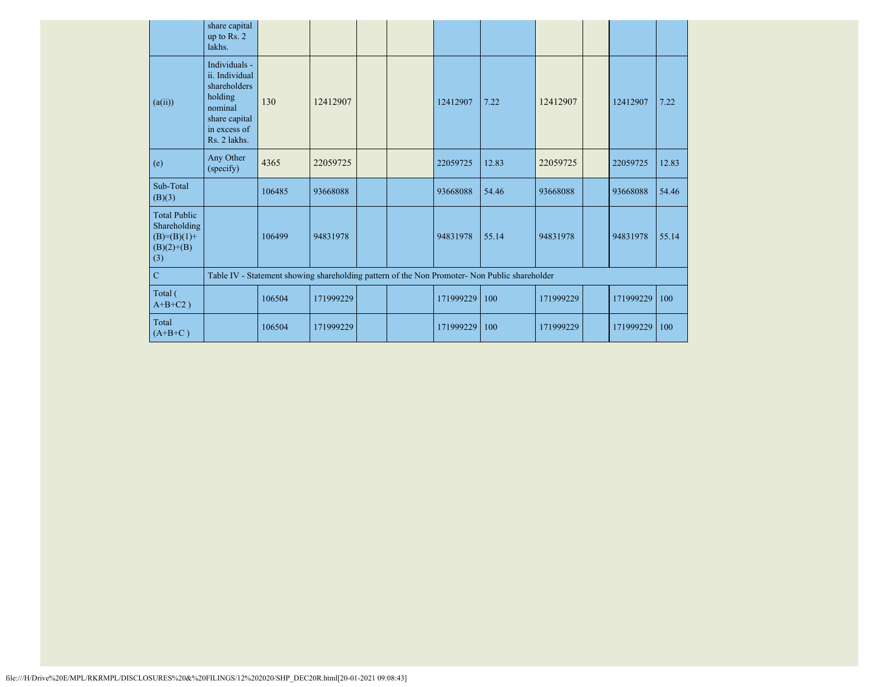|                                                                               | share capital<br>up to Rs. 2<br>lakhs.                                                                                 |        |           |  |           |                                                                                               |           |           |       |
|-------------------------------------------------------------------------------|------------------------------------------------------------------------------------------------------------------------|--------|-----------|--|-----------|-----------------------------------------------------------------------------------------------|-----------|-----------|-------|
| (a(ii))                                                                       | Individuals -<br>ii. Individual<br>shareholders<br>holding<br>nominal<br>share capital<br>in excess of<br>Rs. 2 lakhs. | 130    | 12412907  |  | 12412907  | 7.22                                                                                          | 12412907  | 12412907  | 7.22  |
| (e)                                                                           | Any Other<br>(specify)                                                                                                 | 4365   | 22059725  |  | 22059725  | 12.83                                                                                         | 22059725  | 22059725  | 12.83 |
| Sub-Total<br>(B)(3)                                                           |                                                                                                                        | 106485 | 93668088  |  | 93668088  | 54.46                                                                                         | 93668088  | 93668088  | 54.46 |
| <b>Total Public</b><br>Shareholding<br>$(B)= (B)(1) +$<br>$(B)(2)+(B)$<br>(3) |                                                                                                                        | 106499 | 94831978  |  | 94831978  | 55.14                                                                                         | 94831978  | 94831978  | 55.14 |
| $\mathbf C$                                                                   |                                                                                                                        |        |           |  |           | Table IV - Statement showing shareholding pattern of the Non Promoter- Non Public shareholder |           |           |       |
| Total (<br>$A+B+C2$ )                                                         |                                                                                                                        | 106504 | 171999229 |  | 171999229 | 100                                                                                           | 171999229 | 171999229 | 100   |
| Total<br>$(A+B+C)$                                                            |                                                                                                                        | 106504 | 171999229 |  | 171999229 | 100                                                                                           | 171999229 | 171999229 | 100   |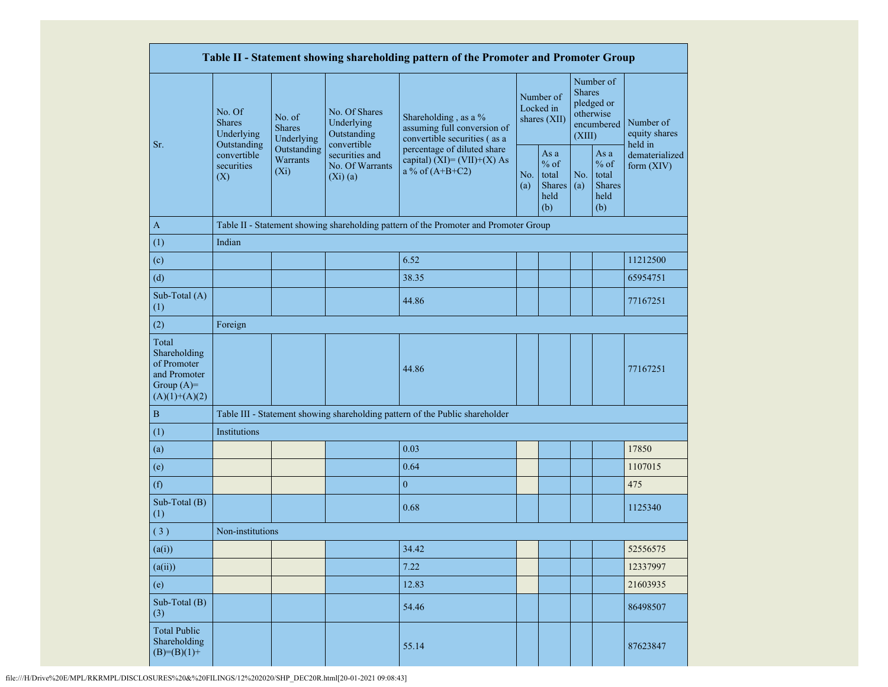|                                                                                         |                                                                                                                                                           |                                                   |                                                           | Table II - Statement showing shareholding pattern of the Promoter and Promoter Group |                                        |                                                  |                                                                               |                                                         |                                       |  |
|-----------------------------------------------------------------------------------------|-----------------------------------------------------------------------------------------------------------------------------------------------------------|---------------------------------------------------|-----------------------------------------------------------|--------------------------------------------------------------------------------------|----------------------------------------|--------------------------------------------------|-------------------------------------------------------------------------------|---------------------------------------------------------|---------------------------------------|--|
| Sr.                                                                                     | No. Of<br>No. of<br><b>Shares</b><br><b>Shares</b><br>Underlying<br>Outstanding<br>Outstanding<br>convertible<br>Warrants<br>securities<br>$(X_i)$<br>(X) | Underlying                                        | No. Of Shares<br>Underlying<br>Outstanding<br>convertible | Shareholding, as a %<br>assuming full conversion of<br>convertible securities (as a  | Number of<br>Locked in<br>shares (XII) |                                                  | Number of<br><b>Shares</b><br>pledged or<br>otherwise<br>encumbered<br>(XIII) |                                                         | Number of<br>equity shares<br>held in |  |
|                                                                                         |                                                                                                                                                           | securities and<br>No. Of Warrants<br>$(Xi)$ $(a)$ |                                                           | percentage of diluted share<br>capital) $(XI) = (VII)+(X) As$<br>a % of $(A+B+C2)$   |                                        | As a<br>$%$ of<br>total<br>Shares<br>held<br>(b) | No.<br>(a)                                                                    | As a<br>$%$ of<br>total<br><b>Shares</b><br>held<br>(b) | dematerialized<br>form (XIV)          |  |
| A                                                                                       |                                                                                                                                                           |                                                   |                                                           | Table II - Statement showing shareholding pattern of the Promoter and Promoter Group |                                        |                                                  |                                                                               |                                                         |                                       |  |
| (1)                                                                                     | Indian                                                                                                                                                    |                                                   |                                                           |                                                                                      |                                        |                                                  |                                                                               |                                                         |                                       |  |
| (c)                                                                                     |                                                                                                                                                           |                                                   |                                                           | 6.52                                                                                 |                                        |                                                  |                                                                               |                                                         | 11212500                              |  |
| (d)                                                                                     |                                                                                                                                                           |                                                   |                                                           | 38.35                                                                                |                                        |                                                  |                                                                               |                                                         | 65954751                              |  |
| Sub-Total (A)<br>(1)                                                                    |                                                                                                                                                           |                                                   |                                                           | 44.86                                                                                |                                        |                                                  |                                                                               |                                                         | 77167251                              |  |
| (2)                                                                                     | Foreign                                                                                                                                                   |                                                   |                                                           |                                                                                      |                                        |                                                  |                                                                               |                                                         |                                       |  |
| Total<br>Shareholding<br>of Promoter<br>and Promoter<br>Group $(A)=$<br>$(A)(1)+(A)(2)$ |                                                                                                                                                           |                                                   |                                                           | 44.86                                                                                |                                        |                                                  |                                                                               |                                                         | 77167251                              |  |
| $\, {\bf B}$                                                                            |                                                                                                                                                           |                                                   |                                                           | Table III - Statement showing shareholding pattern of the Public shareholder         |                                        |                                                  |                                                                               |                                                         |                                       |  |
| (1)                                                                                     | Institutions                                                                                                                                              |                                                   |                                                           |                                                                                      |                                        |                                                  |                                                                               |                                                         |                                       |  |
| (a)                                                                                     |                                                                                                                                                           |                                                   |                                                           | 0.03                                                                                 |                                        |                                                  |                                                                               |                                                         | 17850                                 |  |
| (e)                                                                                     |                                                                                                                                                           |                                                   |                                                           | 0.64                                                                                 |                                        |                                                  |                                                                               |                                                         | 1107015                               |  |
| (f)                                                                                     |                                                                                                                                                           |                                                   |                                                           | $\mathbf{0}$                                                                         |                                        |                                                  |                                                                               |                                                         | 475                                   |  |
| Sub-Total (B)<br>(1)                                                                    |                                                                                                                                                           |                                                   |                                                           | 0.68                                                                                 |                                        |                                                  |                                                                               |                                                         | 1125340                               |  |
| (3)                                                                                     | Non-institutions                                                                                                                                          |                                                   |                                                           |                                                                                      |                                        |                                                  |                                                                               |                                                         |                                       |  |
| (a(i))                                                                                  |                                                                                                                                                           |                                                   |                                                           | 34.42                                                                                |                                        |                                                  |                                                                               |                                                         | 52556575                              |  |
| (a(ii))                                                                                 |                                                                                                                                                           |                                                   |                                                           | 7.22                                                                                 |                                        |                                                  |                                                                               |                                                         | 12337997                              |  |
| (e)                                                                                     |                                                                                                                                                           |                                                   |                                                           | 12.83                                                                                |                                        |                                                  |                                                                               |                                                         | 21603935                              |  |
| Sub-Total (B)<br>(3)                                                                    |                                                                                                                                                           |                                                   |                                                           | 54.46                                                                                |                                        |                                                  |                                                                               |                                                         | 86498507                              |  |
| <b>Total Public</b><br>Shareholding<br>$(B)=(B)(1)+$                                    |                                                                                                                                                           |                                                   |                                                           | 55.14                                                                                |                                        |                                                  |                                                                               |                                                         | 87623847                              |  |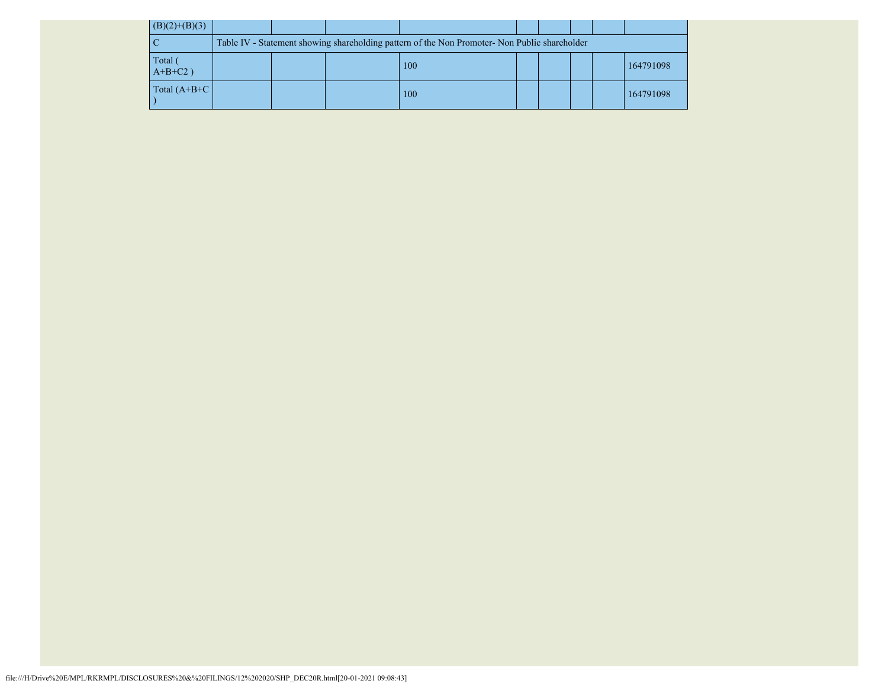| $(B)(2)+(B)(3)$     |                                                                                               |  |  |     |  |  |  |  |           |
|---------------------|-----------------------------------------------------------------------------------------------|--|--|-----|--|--|--|--|-----------|
|                     | Table IV - Statement showing shareholding pattern of the Non Promoter- Non Public shareholder |  |  |     |  |  |  |  |           |
| Total<br>$A+B+C2$ ) |                                                                                               |  |  | 100 |  |  |  |  | 164791098 |
| Total $(A+B+C)$     |                                                                                               |  |  | 100 |  |  |  |  | 164791098 |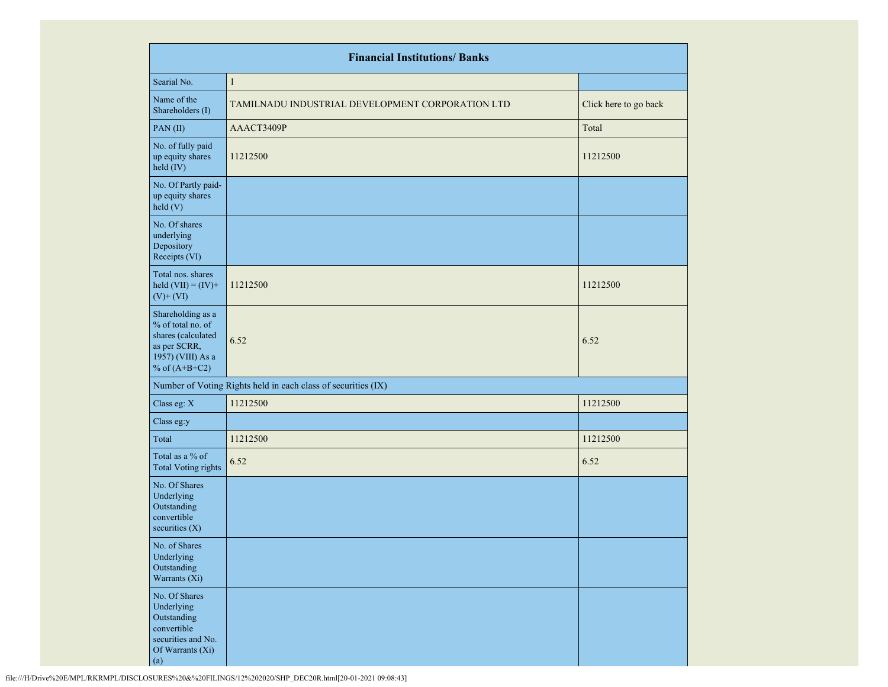|                                                                                                                      | <b>Financial Institutions/ Banks</b>                          |                       |
|----------------------------------------------------------------------------------------------------------------------|---------------------------------------------------------------|-----------------------|
| Searial No.                                                                                                          | $\mathbf{1}$                                                  |                       |
| Name of the<br>Shareholders (I)                                                                                      | TAMILNADU INDUSTRIAL DEVELOPMENT CORPORATION LTD              | Click here to go back |
| PAN(II)                                                                                                              | AAACT3409P                                                    | Total                 |
| No. of fully paid<br>up equity shares<br>held (IV)                                                                   | 11212500                                                      | 11212500              |
| No. Of Partly paid-<br>up equity shares<br>held (V)                                                                  |                                                               |                       |
| No. Of shares<br>underlying<br>Depository<br>Receipts (VI)                                                           |                                                               |                       |
| Total nos. shares<br>held $(VII) = (IV) +$<br>$(V)$ + $(VI)$                                                         | 11212500                                                      | 11212500              |
| Shareholding as a<br>% of total no. of<br>shares (calculated<br>as per SCRR,<br>1957) (VIII) As a<br>% of $(A+B+C2)$ | 6.52                                                          | 6.52                  |
|                                                                                                                      | Number of Voting Rights held in each class of securities (IX) |                       |
| Class eg: X                                                                                                          | 11212500                                                      | 11212500              |
| Class eg:y                                                                                                           |                                                               |                       |
| Total                                                                                                                | 11212500                                                      | 11212500              |
| Total as a % of<br><b>Total Voting rights</b>                                                                        | 6.52                                                          | 6.52                  |
| No. Of Shares<br>Underlying<br>Outstanding<br>convertible<br>securities $(X)$                                        |                                                               |                       |
| No. of Shares<br>Underlying<br>Outstanding<br>Warrants (Xi)                                                          |                                                               |                       |
| No. Of Shares<br>Underlying<br>Outstanding<br>convertible<br>securities and No.<br>Of Warrants (Xi)<br>(a)           |                                                               |                       |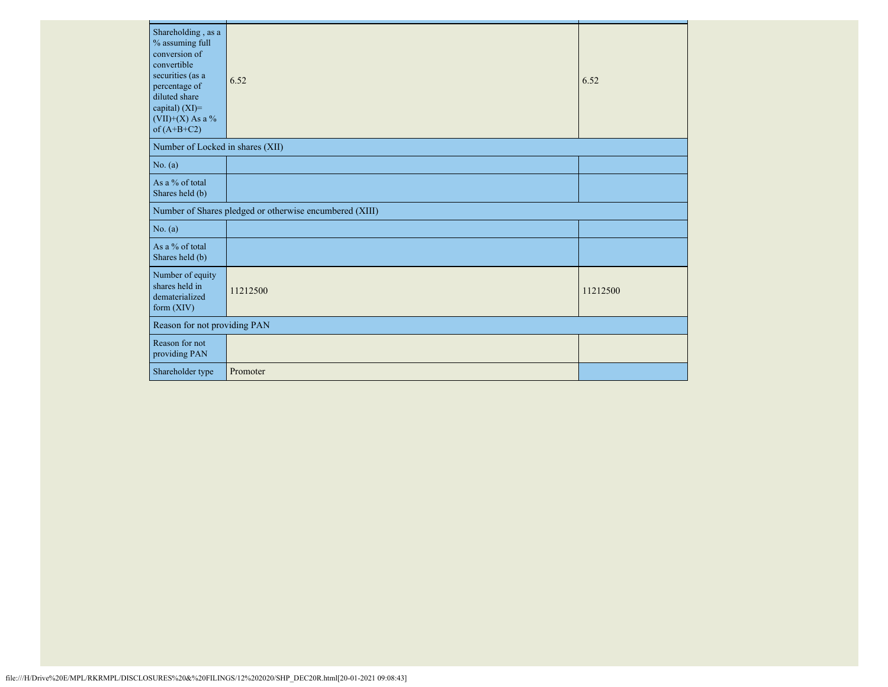| Shareholding, as a<br>% assuming full<br>conversion of<br>convertible<br>securities (as a<br>percentage of<br>diluted share<br>capital) (XI)=<br>$(VII)+(X)$ As a %<br>of $(A+B+C2)$ | 6.52                                                    | 6.52     |
|--------------------------------------------------------------------------------------------------------------------------------------------------------------------------------------|---------------------------------------------------------|----------|
| Number of Locked in shares (XII)                                                                                                                                                     |                                                         |          |
| No. (a)                                                                                                                                                                              |                                                         |          |
| As a % of total<br>Shares held (b)                                                                                                                                                   |                                                         |          |
|                                                                                                                                                                                      | Number of Shares pledged or otherwise encumbered (XIII) |          |
| No. (a)                                                                                                                                                                              |                                                         |          |
| As a % of total<br>Shares held (b)                                                                                                                                                   |                                                         |          |
| Number of equity<br>shares held in<br>dematerialized<br>form $(XIV)$                                                                                                                 | 11212500                                                | 11212500 |
| Reason for not providing PAN                                                                                                                                                         |                                                         |          |
| Reason for not<br>providing PAN                                                                                                                                                      |                                                         |          |
| Shareholder type                                                                                                                                                                     | Promoter                                                |          |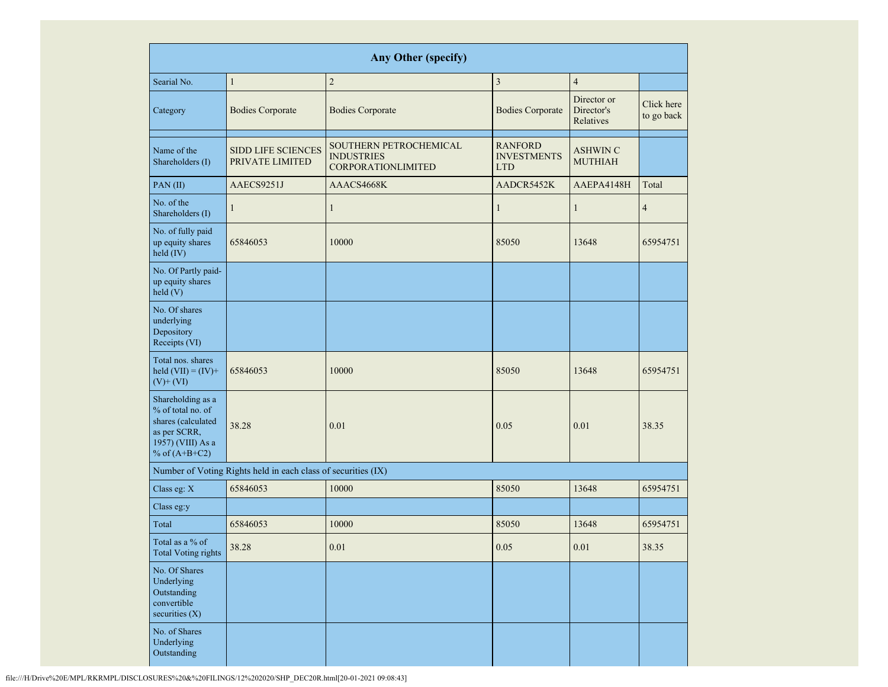|                                                                                                                      |                                                               | <b>Any Other (specify)</b>                                               |                                                    |                                        |                          |
|----------------------------------------------------------------------------------------------------------------------|---------------------------------------------------------------|--------------------------------------------------------------------------|----------------------------------------------------|----------------------------------------|--------------------------|
| Searial No.                                                                                                          | $\mathbf{1}$                                                  | $\sqrt{2}$                                                               | $\overline{3}$                                     | $\overline{4}$                         |                          |
| Category                                                                                                             | <b>Bodies Corporate</b>                                       | <b>Bodies Corporate</b>                                                  | <b>Bodies Corporate</b>                            | Director or<br>Director's<br>Relatives | Click here<br>to go back |
| Name of the<br>Shareholders (I)                                                                                      | <b>SIDD LIFE SCIENCES</b><br>PRIVATE LIMITED                  | SOUTHERN PETROCHEMICAL<br><b>INDUSTRIES</b><br><b>CORPORATIONLIMITED</b> | <b>RANFORD</b><br><b>INVESTMENTS</b><br><b>LTD</b> | <b>ASHWIN C</b><br><b>MUTHIAH</b>      |                          |
| PAN(II)                                                                                                              | AAECS9251J                                                    | AAACS4668K                                                               | AADCR5452K                                         | AAEPA4148H                             | Total                    |
| No. of the<br>Shareholders (I)                                                                                       | $\mathbf{1}$                                                  | $\mathbf{1}$                                                             | $\mathbf{1}$                                       | $\mathbf{1}$                           | $\overline{4}$           |
| No. of fully paid<br>up equity shares<br>held (IV)                                                                   | 65846053                                                      | 10000                                                                    | 85050                                              | 13648                                  | 65954751                 |
| No. Of Partly paid-<br>up equity shares<br>held(V)                                                                   |                                                               |                                                                          |                                                    |                                        |                          |
| No. Of shares<br>underlying<br>Depository<br>Receipts (VI)                                                           |                                                               |                                                                          |                                                    |                                        |                          |
| Total nos. shares<br>held $(VII) = (IV) +$<br>$(V)$ + $(VI)$                                                         | 65846053                                                      | 10000                                                                    | 85050                                              | 13648                                  | 65954751                 |
| Shareholding as a<br>% of total no. of<br>shares (calculated<br>as per SCRR,<br>1957) (VIII) As a<br>% of $(A+B+C2)$ | 38.28                                                         | 0.01                                                                     | 0.05                                               | 0.01                                   | 38.35                    |
|                                                                                                                      | Number of Voting Rights held in each class of securities (IX) |                                                                          |                                                    |                                        |                          |
| Class eg: X                                                                                                          | 65846053                                                      | 10000                                                                    | 85050                                              | 13648                                  | 65954751                 |
| Class eg:y                                                                                                           |                                                               |                                                                          |                                                    |                                        |                          |
| Total                                                                                                                | 65846053                                                      | 10000                                                                    | 85050                                              | 13648                                  | 65954751                 |
| Total as a % of<br><b>Total Voting rights</b>                                                                        | 38.28                                                         | 0.01                                                                     | 0.05                                               | 0.01                                   | 38.35                    |
| No. Of Shares<br>Underlying<br>Outstanding<br>convertible<br>securities (X)                                          |                                                               |                                                                          |                                                    |                                        |                          |
| No. of Shares<br>Underlying<br>Outstanding                                                                           |                                                               |                                                                          |                                                    |                                        |                          |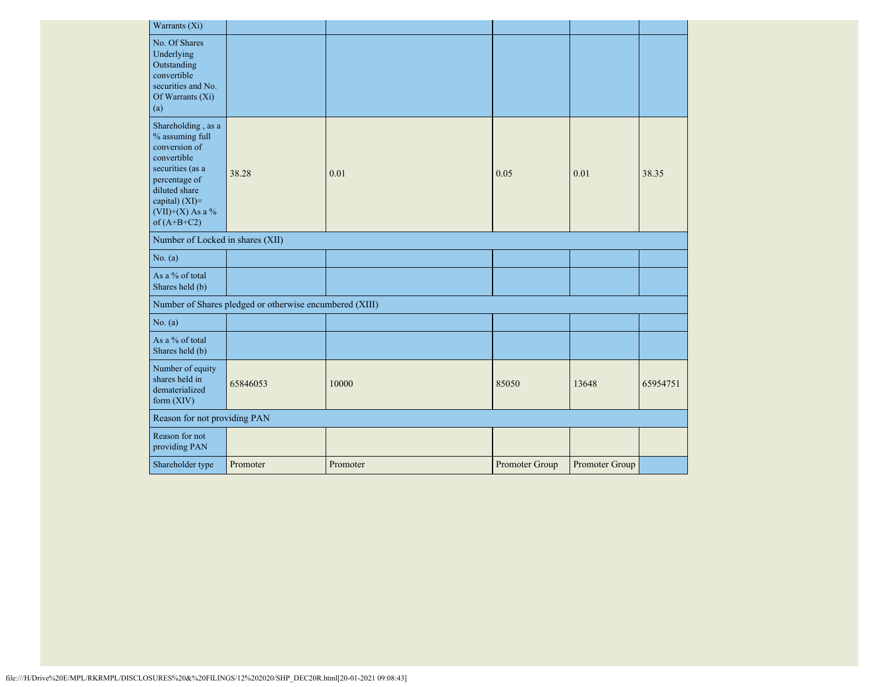| Warrants (Xi)                                                                                                                                                                           |                                                         |          |                |                |          |
|-----------------------------------------------------------------------------------------------------------------------------------------------------------------------------------------|---------------------------------------------------------|----------|----------------|----------------|----------|
| No. Of Shares<br>Underlying<br>Outstanding<br>convertible<br>securities and No.<br>Of Warrants $(X_i)$<br>(a)                                                                           |                                                         |          |                |                |          |
| Shareholding, as a<br>$\%$ assuming full<br>conversion of<br>convertible<br>securities (as a<br>percentage of<br>diluted share<br>capital) (XI)=<br>$(VII)+(X)$ As a %<br>of $(A+B+C2)$ | 38.28                                                   | 0.01     | 0.05           | 0.01           | 38.35    |
| Number of Locked in shares (XII)                                                                                                                                                        |                                                         |          |                |                |          |
| No. (a)                                                                                                                                                                                 |                                                         |          |                |                |          |
| As a % of total<br>Shares held (b)                                                                                                                                                      |                                                         |          |                |                |          |
|                                                                                                                                                                                         | Number of Shares pledged or otherwise encumbered (XIII) |          |                |                |          |
| No. (a)                                                                                                                                                                                 |                                                         |          |                |                |          |
| As a % of total<br>Shares held (b)                                                                                                                                                      |                                                         |          |                |                |          |
| Number of equity<br>shares held in<br>dematerialized<br>form $(XIV)$                                                                                                                    | 65846053                                                | 10000    | 85050          | 13648          | 65954751 |
| Reason for not providing PAN                                                                                                                                                            |                                                         |          |                |                |          |
| Reason for not<br>providing PAN                                                                                                                                                         |                                                         |          |                |                |          |
| Shareholder type                                                                                                                                                                        | Promoter                                                | Promoter | Promoter Group | Promoter Group |          |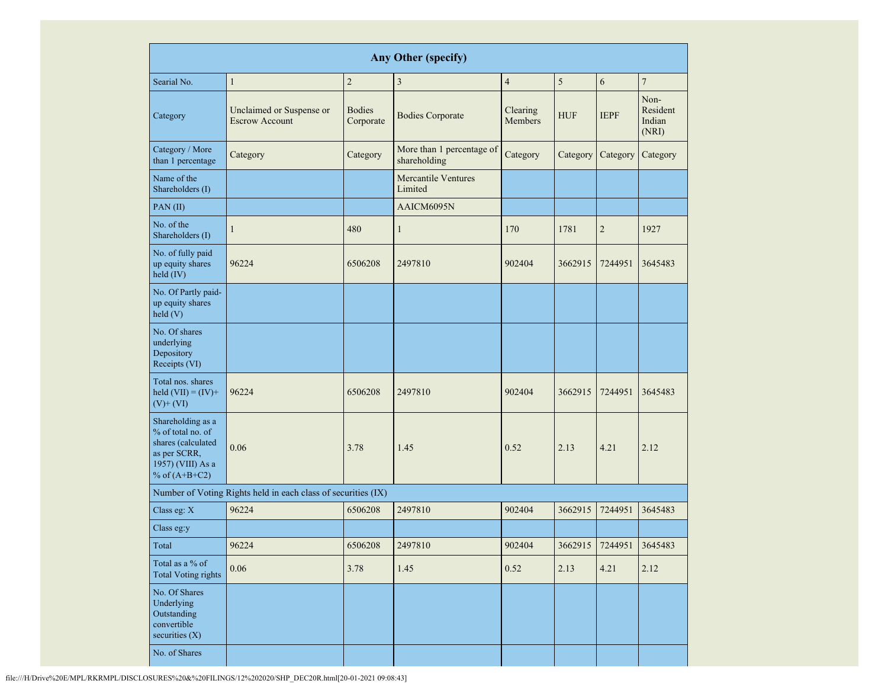| <b>Any Other (specify)</b>                                                                                           |                                                               |                            |                                           |                            |            |                         |                                     |
|----------------------------------------------------------------------------------------------------------------------|---------------------------------------------------------------|----------------------------|-------------------------------------------|----------------------------|------------|-------------------------|-------------------------------------|
| Searial No.                                                                                                          | $\mathbf{1}$                                                  | $\sqrt{2}$                 | $\overline{\mathbf{3}}$                   | $\overline{4}$             | 5          | 6                       | $\overline{7}$                      |
| Category                                                                                                             | Unclaimed or Suspense or<br><b>Escrow Account</b>             | <b>Bodies</b><br>Corporate | <b>Bodies Corporate</b>                   | Clearing<br><b>Members</b> | <b>HUF</b> | <b>IEPF</b>             | Non-<br>Resident<br>Indian<br>(NRI) |
| Category / More<br>than 1 percentage                                                                                 | Category                                                      | Category                   | More than 1 percentage of<br>shareholding | Category                   | Category   | Category                | Category                            |
| Name of the<br>Shareholders (I)                                                                                      |                                                               |                            | <b>Mercantile Ventures</b><br>Limited     |                            |            |                         |                                     |
| PAN(II)                                                                                                              |                                                               |                            | AAICM6095N                                |                            |            |                         |                                     |
| No. of the<br>Shareholders (I)                                                                                       | $\mathbf{1}$                                                  | 480                        | $\mathbf{1}$                              | 170                        | 1781       | $\overline{2}$          | 1927                                |
| No. of fully paid<br>up equity shares<br>held (IV)                                                                   | 96224                                                         | 6506208                    | 2497810                                   | 902404                     | 3662915    | 7244951                 | 3645483                             |
| No. Of Partly paid-<br>up equity shares<br>held(V)                                                                   |                                                               |                            |                                           |                            |            |                         |                                     |
| No. Of shares<br>underlying<br>Depository<br>Receipts (VI)                                                           |                                                               |                            |                                           |                            |            |                         |                                     |
| Total nos. shares<br>held $(VII) = (IV) +$<br>$(V)$ + $(VI)$                                                         | 96224                                                         | 6506208                    | 2497810                                   | 902404                     | 3662915    | 7244951                 | 3645483                             |
| Shareholding as a<br>% of total no. of<br>shares (calculated<br>as per SCRR,<br>1957) (VIII) As a<br>% of $(A+B+C2)$ | 0.06                                                          | 3.78                       | 1.45                                      | 0.52                       | 2.13       | 4.21                    | 2.12                                |
|                                                                                                                      | Number of Voting Rights held in each class of securities (IX) |                            |                                           |                            |            |                         |                                     |
| Class eg: X                                                                                                          | 96224                                                         | 6506208                    | 2497810                                   | 902404                     | 3662915    | 7244951                 | 3645483                             |
| Class eg:y                                                                                                           |                                                               |                            |                                           |                            |            |                         |                                     |
| Total                                                                                                                | 96224                                                         | 6506208                    | 2497810                                   | 902404                     |            | 3662915 7244951 3645483 |                                     |
| Total as a % of<br><b>Total Voting rights</b>                                                                        | 0.06                                                          | 3.78                       | 1.45                                      | 0.52                       | 2.13       | 4.21                    | 2.12                                |
| No. Of Shares<br>Underlying<br>Outstanding<br>convertible<br>securities (X)                                          |                                                               |                            |                                           |                            |            |                         |                                     |
| No. of Shares                                                                                                        |                                                               |                            |                                           |                            |            |                         |                                     |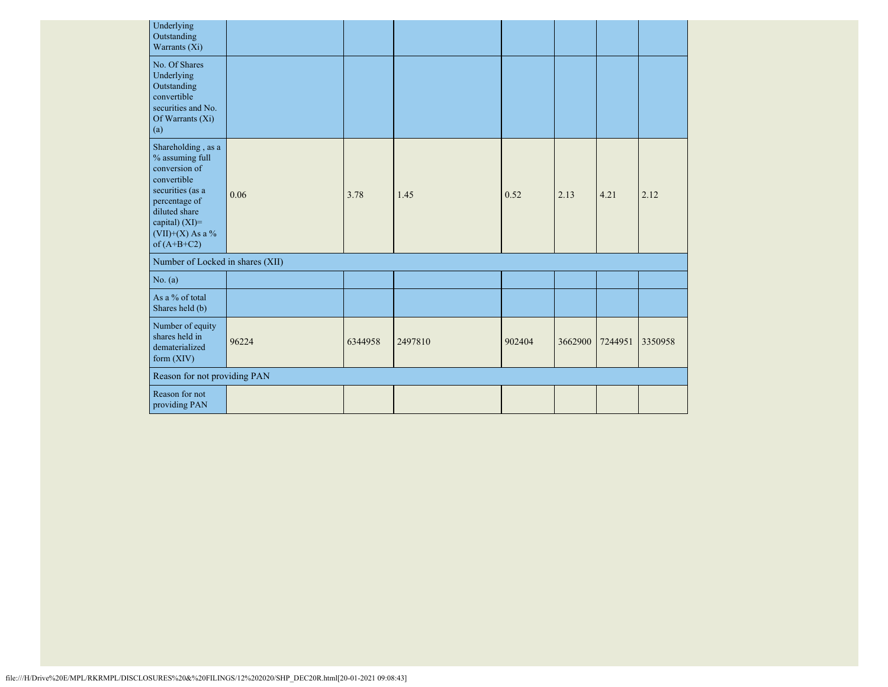| Underlying<br>Outstanding<br>Warrants (Xi)                                                                                                                                         |       |         |         |        |         |         |         |
|------------------------------------------------------------------------------------------------------------------------------------------------------------------------------------|-------|---------|---------|--------|---------|---------|---------|
| No. Of Shares<br>Underlying<br>Outstanding<br>convertible<br>securities and No.<br>Of Warrants (Xi)<br>(a)                                                                         |       |         |         |        |         |         |         |
| Shareholding, as a<br>% assuming full<br>conversion of<br>convertible<br>securities (as a<br>percentage of<br>diluted share<br>capital) (XI)=<br>(VII)+(X) As a %<br>of $(A+B+C2)$ | 0.06  | 3.78    | 1.45    | 0.52   | 2.13    | 4.21    | 2.12    |
| Number of Locked in shares (XII)                                                                                                                                                   |       |         |         |        |         |         |         |
| No. (a)                                                                                                                                                                            |       |         |         |        |         |         |         |
| As a % of total<br>Shares held (b)                                                                                                                                                 |       |         |         |        |         |         |         |
| Number of equity<br>shares held in<br>dematerialized<br>form $(XIV)$                                                                                                               | 96224 | 6344958 | 2497810 | 902404 | 3662900 | 7244951 | 3350958 |
| Reason for not providing PAN                                                                                                                                                       |       |         |         |        |         |         |         |
| Reason for not<br>providing PAN                                                                                                                                                    |       |         |         |        |         |         |         |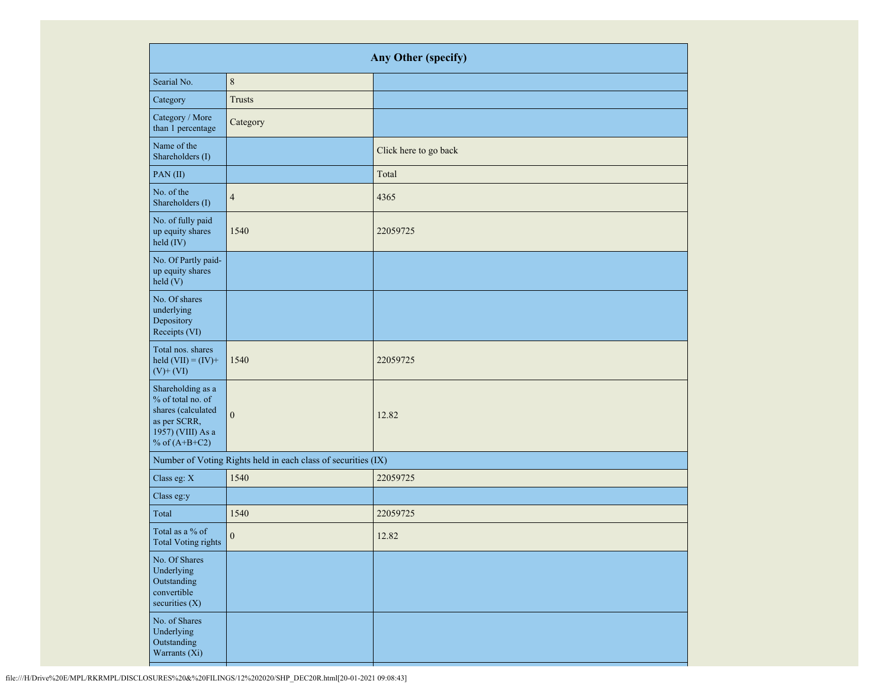|                                                                                                                      | Any Other (specify)                                           |                       |  |  |  |
|----------------------------------------------------------------------------------------------------------------------|---------------------------------------------------------------|-----------------------|--|--|--|
| Searial No.                                                                                                          | $\,8\,$                                                       |                       |  |  |  |
| Category                                                                                                             | <b>Trusts</b>                                                 |                       |  |  |  |
| Category / More<br>than 1 percentage                                                                                 | Category                                                      |                       |  |  |  |
| Name of the<br>Shareholders (I)                                                                                      |                                                               | Click here to go back |  |  |  |
| PAN(II)                                                                                                              |                                                               | Total                 |  |  |  |
| No. of the<br>Shareholders (I)                                                                                       | $\overline{4}$                                                | 4365                  |  |  |  |
| No. of fully paid<br>up equity shares<br>held (IV)                                                                   | 1540                                                          | 22059725              |  |  |  |
| No. Of Partly paid-<br>up equity shares<br>held (V)                                                                  |                                                               |                       |  |  |  |
| No. Of shares<br>underlying<br>Depository<br>Receipts (VI)                                                           |                                                               |                       |  |  |  |
| Total nos. shares<br>held $(VII) = (IV) +$<br>$(V)$ + $(VI)$                                                         | 1540                                                          | 22059725              |  |  |  |
| Shareholding as a<br>% of total no. of<br>shares (calculated<br>as per SCRR,<br>1957) (VIII) As a<br>% of $(A+B+C2)$ | $\boldsymbol{0}$                                              | 12.82                 |  |  |  |
|                                                                                                                      | Number of Voting Rights held in each class of securities (IX) |                       |  |  |  |
| Class eg: X                                                                                                          | 1540                                                          | 22059725              |  |  |  |
| Class eg:y                                                                                                           |                                                               |                       |  |  |  |
| Total                                                                                                                | 1540                                                          | 22059725              |  |  |  |
| Total as a % of<br>Total Voting rights                                                                               | $\boldsymbol{0}$                                              | 12.82                 |  |  |  |
| No. Of Shares<br>Underlying<br>Outstanding<br>convertible<br>securities $(X)$                                        |                                                               |                       |  |  |  |
| No. of Shares<br>Underlying<br>Outstanding<br>Warrants (Xi)                                                          |                                                               |                       |  |  |  |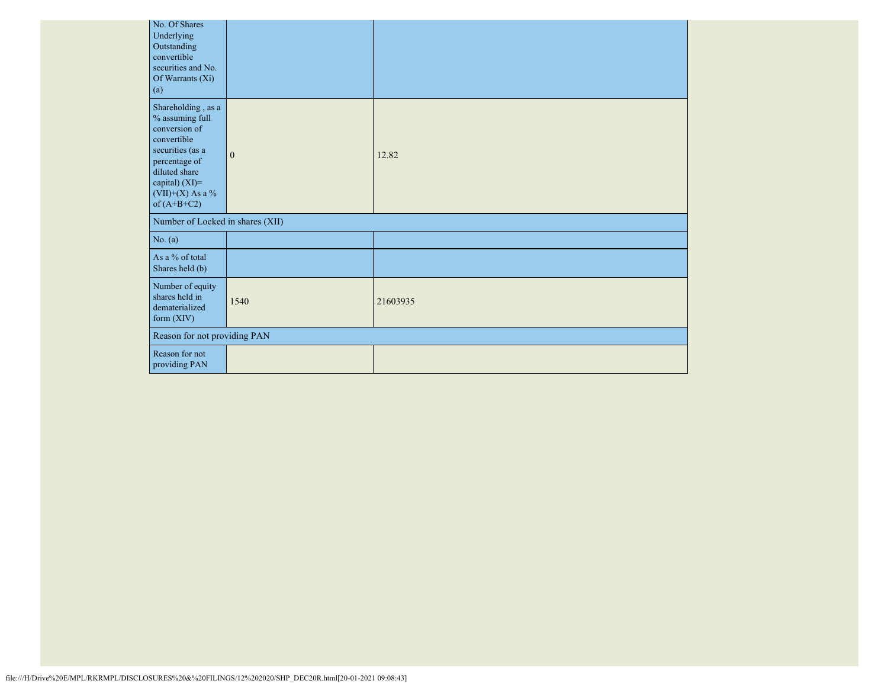|                                  | No. Of Shares<br>Underlying<br>Outstanding<br>convertible<br>securities and No.<br>Of Warrants (Xi)<br>(a)                                                                           |                              |          |  |  |
|----------------------------------|--------------------------------------------------------------------------------------------------------------------------------------------------------------------------------------|------------------------------|----------|--|--|
|                                  | Shareholding, as a<br>% assuming full<br>conversion of<br>convertible<br>securities (as a<br>percentage of<br>diluted share<br>capital) (XI)=<br>$(VII)+(X)$ As a %<br>of $(A+B+C2)$ | $\mathbf{0}$                 | 12.82    |  |  |
| Number of Locked in shares (XII) |                                                                                                                                                                                      |                              |          |  |  |
|                                  | No. (a)                                                                                                                                                                              |                              |          |  |  |
|                                  | As a % of total<br>Shares held (b)                                                                                                                                                   |                              |          |  |  |
|                                  | Number of equity<br>shares held in<br>dematerialized<br>form (XIV)                                                                                                                   | 1540                         | 21603935 |  |  |
|                                  |                                                                                                                                                                                      | Reason for not providing PAN |          |  |  |
|                                  | Reason for not<br>providing PAN                                                                                                                                                      |                              |          |  |  |